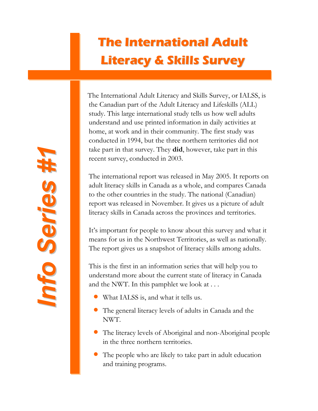# **The International Adult Literacy & Skills Survey**

The International Adult Literacy and Skills Survey, or IALSS, is the Canadian part of the Adult Literacy and Lifeskills (ALL) study. This large international study tells us how well adults understand and use printed information in daily activities at home, at work and in their community. The first study was conducted in 1994, but the three northern territories did not take part in that survey. They **did**, however, take part in this recent survey, conducted in 2003.

The international report was released in May 2005. It reports on adult literacy skills in Canada as a whole, and compares Canada to the other countries in the study. The national (Canadian) report was released in November. It gives us a picture of adult literacy skills in Canada across the provinces and territories.

It's important for people to know about this survey and what it means for us in the Northwest Territories, as well as nationally. The report gives us a snapshot of literacy skills among adults.

This is the first in an information series that will help you to understand more about the current state of literacy in Canada and the NWT. In this pamphlet we look at . . .

- What IALSS is, and what it tells us.
- The general literacy levels of adults in Canada and the NWT.
- The literacy levels of Aboriginal and non-Aboriginal people in the three northern territories.
- The people who are likely to take part in adult education and training programs.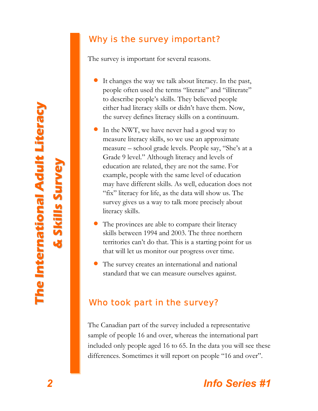**s**

**u r v e y**

## Why is the survey important?

The survey is important for several reasons.

- It changes the way we talk about literacy. In the past, people often used the terms "literate" and "illiterate" to describe people's skills. They believed people either had literacy skills or didn't have them. Now, the survey defines literacy skills on a continuum.
- In the NWT, we have never had a good way to measure literacy skills, so we use an approximate measure – school grade levels. People say, "She's at a Grade 9 level." Although literacy and levels of education are related, they are not the same. For example, people with the same level of education may have different skills. As well, education does not "fix" literacy for life, as the data will show us. The survey gives us a way to talk more precisely about literacy skills.
- The provinces are able to compare their literacy skills between 1994 and 2003. The three northern territories can't do that. This is a starting point for us that will let us monitor our progress over time.
- The survey creates an international and national standard that we can measure ourselves against.

## Who took part in the survey?

The Canadian part of the survey included a representative sample of people 16 and over, whereas the international part included only people aged 16 to 65. In the data you will see these differences. Sometimes it will report on people "16 and over".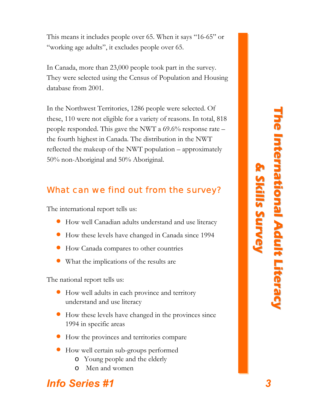This means it includes people over 65. When it says "16-65" or "working age adults", it excludes people over 65.

In Canada, more than 23,000 people took part in the survey. They were selected using the Census of Population and Housing database from 2001.

In the Northwest Territories, 1286 people were selected. Of these, 110 were not eligible for a variety of reasons. In total, 818 people responded. This gave the NWT a  $69.6\%$  response rate – the fourth highest in Canada. The distribution in the NWT reflected the makeup of the NWT population – approximately 50% non-Aboriginal and 50% Aboriginal.

## What can we find out from the survey?

The international report tells us:

- How well Canadian adults understand and use literacy
- How these levels have changed in Canada since 1994
- How Canada compares to other countries
- What the implications of the results are

The national report tells us:

- How well adults in each province and territory understand and use literacy
- How these levels have changed in the provinces since 1994 in specific areas
- How the provinces and territories compare
- How well certain sub-groups performed
	- o Young people and the elderly
	- o Men and women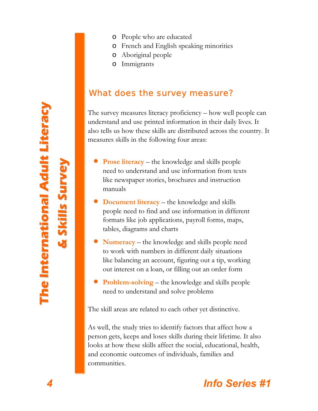- o French and English speaking minorities
- o Aboriginal people
- o Immigrants

## What does the survey measure?

The survey measures literacy proficiency – how well people can understand and use printed information in their daily lives. It also tells us how these skills are distributed across the country. It measures skills in the following four areas:

- **Prose literacy** the knowledge and skills people need to understand and use information from texts like newspaper stories, brochures and instruction manuals
- **Document literacy** the knowledge and skills people need to find and use information in different formats like job applications, payroll forms, maps, tables, diagrams and charts
- **Numeracy** the knowledge and skills people need to work with numbers in different daily situations like balancing an account, figuring out a tip, working out interest on a loan, or filling out an order form
- **Problem-solving** the knowledge and skills people need to understand and solve problems

The skill areas are related to each other yet distinctive.

As well, the study tries to identify factors that affect how a person gets, keeps and loses skills during their lifetime. It also looks at how these skills affect the social, educational, health, and economic outcomes of individuals, families and communities.

**u**

**v**

**y**

**T**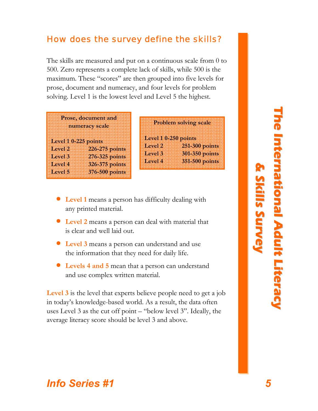### How does the survey define the skills?

The skills are measured and put on a continuous scale from 0 to 500. Zero represents a complete lack of skills, while 500 is the maximum. These "scores" are then grouped into five levels for prose, document and numeracy, and four levels for problem solving. Level 1 is the lowest level and Level 5 the highest.

|                      | Prose, document and |
|----------------------|---------------------|
|                      |                     |
|                      | numeracy scale      |
|                      |                     |
|                      |                     |
| Level 1 0-225 points |                     |
|                      |                     |
| Level 2              | 226-275 points      |
|                      |                     |
| Level 3              | 276-325 points      |
| Level 4              | 326-375 points      |
|                      |                     |
|                      |                     |
| Level <sub>5</sub>   | 376-500 points      |

|                      | <b>Problem solving scale</b> |
|----------------------|------------------------------|
| Level 1 0-250 points |                              |
| Level <sub>2</sub>   | 251-300 points               |
| Level 3              | 301-350 points               |
| Level 4              | 351-500 points               |
|                      |                              |

- **Level 1** means a person has difficulty dealing with any printed material.
- **Level 2** means a person can deal with material that is clear and well laid out.
- **Level 3** means a person can understand and use the information that they need for daily life.
- **Levels 4 and 5** mean that a person can understand and use complex written material.

**Level 3** is the level that experts believe people need to get a job in today's knowledge-based world. As a result, the data often uses Level 3 as the cut off point – "below level 3". Ideally, the average literacy score should be level 3 and above.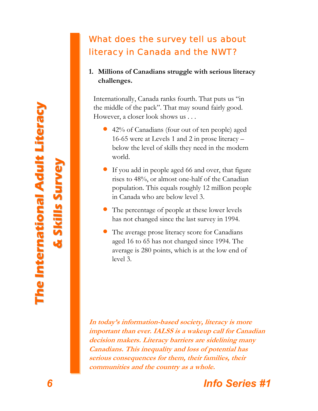## What does the survey tell us about literacy in Canada and the NWT?

### **1. Millions of Canadians struggle with serious literacy challenges.**

Internationally, Canada ranks fourth. That puts us "in the middle of the pack". That may sound fairly good. However, a closer look shows us . . .

- 42% of Canadians (four out of ten people) aged 16-65 were at Levels 1 and 2 in prose literacy – below the level of skills they need in the modern world.
- If you add in people aged 66 and over, that figure rises to 48%, or almost one-half of the Canadian population. This equals roughly 12 million people in Canada who are below level 3.
- The percentage of people at these lower levels has not changed since the last survey in 1994.
- The average prose literacy score for Canadians aged 16 to 65 has not changed since 1994. The average is 280 points, which is at the low end of level 3.

**In today's information-based society, literacy is more important than ever. IALSS is a wakeup call for Canadian decision makers. Literacy barriers are sidelining many Canadians. This inequality and loss of potential has serious consequences for them, their families, their communities and the country as a whole.** 



**s**

**urvey**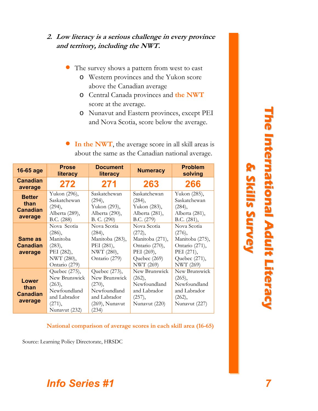### **2. Low literacy is a serious challenge in every province and territory, including the NWT.**

The survey shows a pattern from west to east

- o Western provinces and the Yukon score above the Canadian average
- o Central Canada provinces and **the NWT** score at the average.
- o Nunavut and Eastern provinces, except PEI and Nova Scotia, score below the average.
- **In the NWT**, the average score in all skill areas is about the same as the Canadian national average.

| 16-65 age                                           | <b>Prose</b><br>literacy                                                                            | <b>Document</b><br>literacy                                                                         | <b>Numeracy</b>                                                                                              | <b>Problem</b><br>solving                                                                                     |
|-----------------------------------------------------|-----------------------------------------------------------------------------------------------------|-----------------------------------------------------------------------------------------------------|--------------------------------------------------------------------------------------------------------------|---------------------------------------------------------------------------------------------------------------|
| <b>Canadian</b><br>average                          | 272                                                                                                 | 271                                                                                                 | 263                                                                                                          | 266                                                                                                           |
| <b>Better</b><br>than<br><b>Canadian</b><br>average | Yukon (296),<br>Saskatchewan<br>(294),<br>Alberta (289),<br>B.C. (288)                              | Saskatchewan<br>(294),<br>Yukon (293),<br>Alberta (290),<br>B. C. (290)                             | Saskatchewan<br>(284),<br>Yukon (283),<br>Alberta (281),<br>B.C. (279)                                       | Yukon (285),<br>Saskatchewan<br>(284),<br>Alberta (281),<br>B.C. (281),                                       |
| <b>Same as</b><br>Canadian<br>average               | Nova Scotia<br>(286),<br>Manitoba<br>(283),<br>PEI (282),<br>NWT (280),<br>Ontario (279)            | Nova Scotia<br>(284),<br>Manitoba (283),<br>PEI (281),<br>NWT (280),<br>Ontario (279)               | Nova Scotia<br>(272),<br>Manitoba (271),<br>Ontario (270),<br>PEI (269),<br>Quebec (269)<br><b>NWT</b> (269) | Nova Scotia<br>(276),<br>Manitoba (275),<br>Ontario (271),<br>PEI (271),<br>Quebec (271),<br><b>NWT</b> (269) |
| <b>Lower</b><br>than<br><b>Canadian</b><br>average  | Quebec (275),<br>New Brunswick<br>(263),<br>Newfoundland<br>and Labrador<br>(271),<br>Nunavut (232) | Quebec (273),<br>New Brunswick<br>(270),<br>Newfoundland<br>and Labrador<br>(269), Nunavut<br>(234) | New Brunswick<br>(262),<br>Newfoundland<br>and Labrador<br>(257),<br>Nunavut (220)                           | New Brunswick<br>(265),<br>Newfoundland<br>and Labrador<br>(262),<br>Nunavut (227)                            |

#### **National comparison of average scores in each skill area (16-65)**

Source: Learning Policy Directorate, HRSDC

**T h e I n t e r n a t i o i o n a l A d u l t L i t e r a c y & S k i l l s S u r v e y**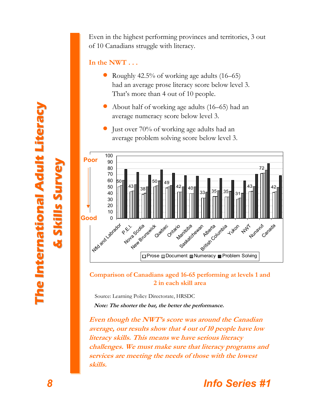Even in the highest performing provinces and territories, 3 out of 10 Canadians struggle with literacy.

### **In the NWT . . .**

- Roughly 42.5% of working age adults (16–65) had an average prose literacy score below level 3. That's more than 4 out of 10 people.
- About half of working age adults (16–65) had an average numeracy score below level 3.
- Just over 70% of working age adults had an average problem solving score below level 3.



**Comparison of Canadians aged 16-65 performing at levels 1 and 2 in each skill area** 

Source: Learning Policy Directorate, HRSDC **Note: The shorter the bar, the better the performance.** 

**Even though the NWT's score was around the Canadian average, our results show that 4 out of 10 people have low literacy skills. This means we have serious literacy challenges. We must make sure that literacy programs and services are meeting the needs of those with the lowest skills.** 

#### **Th e I n t e r n a t i o i o n a l A d u l t L i t e r a &Skila compositor later than sSurvey**

**c y**

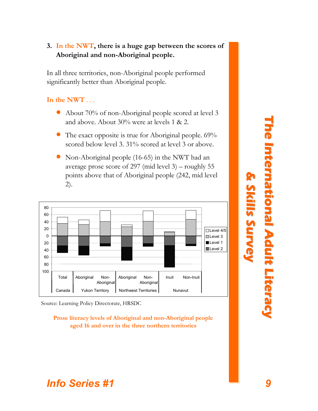### **3. In the NWT, there is a huge gap between the scores of Aboriginal and non-Aboriginal people.**

In all three territories, non-Aboriginal people performed significantly better than Aboriginal people.

### **In the NWT** . . .

- About 70% of non-Aboriginal people scored at level 3 and above. About 30% were at levels 1 & 2.
- The exact opposite is true for Aboriginal people. 69% scored below level 3. 31% scored at level 3 or above.
- Non-Aboriginal people (16-65) in the NWT had an average prose score of 297 (mid level 3) – roughly 55 points above that of Aboriginal people (242, mid level 2).



Source: Learning Policy Directorate, HRSDC

**Prose literacy levels of Aboriginal and non-Aboriginal people aged 16 and over in the three northern territories** 

#### **T h e I n t e r n a t i o i o n a l A d u l t L i t e r a c y & S k i l l s S u r v e y**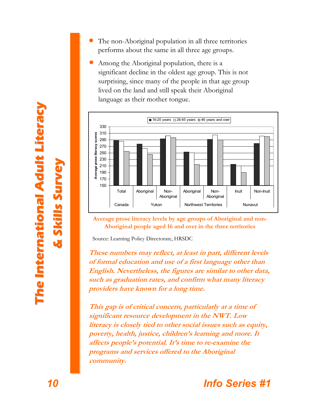- The non-Aboriginal population in all three territories performs about the same in all three age groups.
- Among the Aboriginal population, there is a significant decline in the oldest age group. This is not surprising, since many of the people in that age group lived on the land and still speak their Aboriginal language as their mother tongue.



**Average prose literacy levels by age groups of Aboriginal and non-Aboriginal people aged 16 and over in the three territories**

Source: Learning Policy Directorate, HRSDC

**These numbers may reflect, at least in part, different levels of formal education and use of a first language other than English. Nevertheless, the figures are similar to other data, such as graduation rates, and confirm what many literacy providers have known for a long time.** 

**This gap is of critical concern, particularly at a time of significant resource development in the NWT. Low literacy is closely tied to other social issues such as equity, poverty, health, justice, children's learning and more. It affects people's potential. It's time to re-examine the programs and services offered to the Aboriginal community.** 

**c y**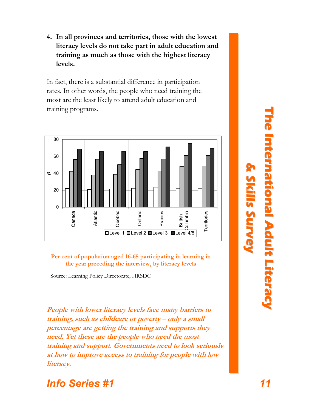**4. In all provinces and territories, those with the lowest literacy levels do not take part in adult education and training as much as those with the highest literacy levels.** 

In fact, there is a substantial difference in participation rates. In other words, the people who need training the most are the least likely to attend adult education and training programs.



**Per cent of population aged 16-65 participating in learning in the year preceding the interview, by literacy levels** 

Source: Learning Policy Directorate, HRSDC

**People with lower literacy levels face many barriers to training, such as childcare or poverty – only a small percentage are getting the training and supports they need. Yet these are the people who need the most training and support. Governments need to look seriously at how to improve access to training for people with low literacy.** 

### **T h e I n t e r n a t i o i o n a l A d u l t L i t e r a c & S k i l l s S**

**u r v e y**

## *Info Series #1 11*

**y**